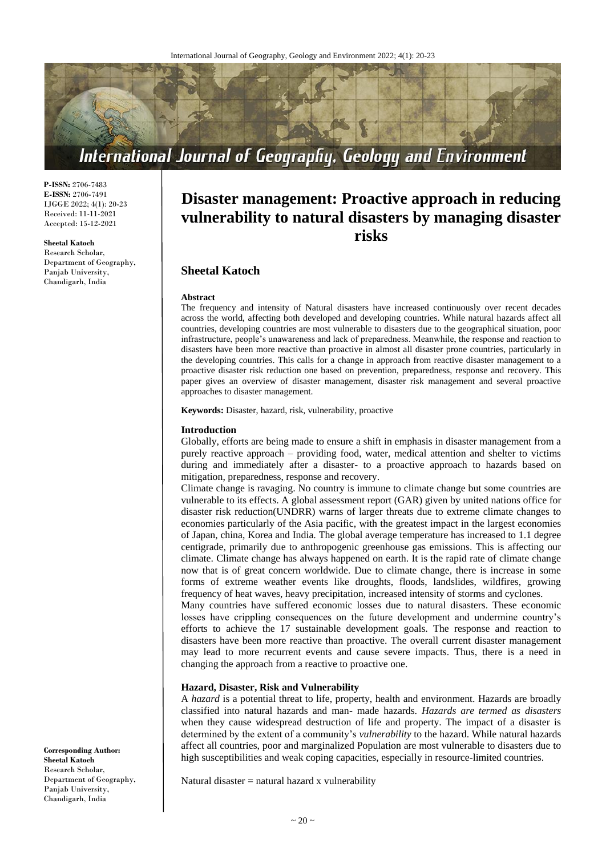

**P-ISSN:** 2706-7483 **E-ISSN:** 2706-7491 IJGGE 2022; 4(1): 20-23 Received: 11-11-2021 Accepted: 15-12-2021

**Sheetal Katoch**

Research Scholar, Department of Geography, Panjab University, Chandigarh, India

# **Disaster management: Proactive approach in reducing vulnerability to natural disasters by managing disaster risks**

# **Sheetal Katoch**

#### **Abstract**

The frequency and intensity of Natural disasters have increased continuously over recent decades across the world, affecting both developed and developing countries. While natural hazards affect all countries, developing countries are most vulnerable to disasters due to the geographical situation, poor infrastructure, people's unawareness and lack of preparedness. Meanwhile, the response and reaction to disasters have been more reactive than proactive in almost all disaster prone countries, particularly in the developing countries. This calls for a change in approach from reactive disaster management to a proactive disaster risk reduction one based on prevention, preparedness, response and recovery. This paper gives an overview of disaster management, disaster risk management and several proactive approaches to disaster management.

**Keywords:** Disaster, hazard, risk, vulnerability, proactive

#### **Introduction**

Globally, efforts are being made to ensure a shift in emphasis in disaster management from a purely reactive approach – providing food, water, medical attention and shelter to victims during and immediately after a disaster- to a proactive approach to hazards based on mitigation, preparedness, response and recovery.

Climate change is ravaging. No country is immune to climate change but some countries are vulnerable to its effects. A global assessment report (GAR) given by united nations office for disaster risk reduction(UNDRR) warns of larger threats due to extreme climate changes to economies particularly of the Asia pacific, with the greatest impact in the largest economies of Japan, china, Korea and India. The global average temperature has increased to 1.1 degree centigrade, primarily due to anthropogenic greenhouse gas emissions. This is affecting our climate. Climate change has always happened on earth. It is the rapid rate of climate change now that is of great concern worldwide. Due to climate change, there is increase in some forms of extreme weather events like droughts, floods, landslides, wildfires, growing frequency of heat waves, heavy precipitation, increased intensity of storms and cyclones.

Many countries have suffered economic losses due to natural disasters. These economic losses have crippling consequences on the future development and undermine country's efforts to achieve the 17 sustainable development goals. The response and reaction to disasters have been more reactive than proactive. The overall current disaster management may lead to more recurrent events and cause severe impacts. Thus, there is a need in changing the approach from a reactive to proactive one.

#### **Hazard, Disaster, Risk and Vulnerability**

A *hazard* is a potential threat to life, property, health and environment. Hazards are broadly classified into natural hazards and man- made hazards. *Hazards are termed as disasters* when they cause widespread destruction of life and property. The impact of a disaster is determined by the extent of a community's *vulnerability* to the hazard. While natural hazards affect all countries, poor and marginalized Population are most vulnerable to disasters due to high susceptibilities and weak coping capacities, especially in resource-limited countries.

Natural disaster  $=$  natural hazard x vulnerability

**Corresponding Author: Sheetal Katoch** Research Scholar, Department of Geography, Panjab University, Chandigarh, India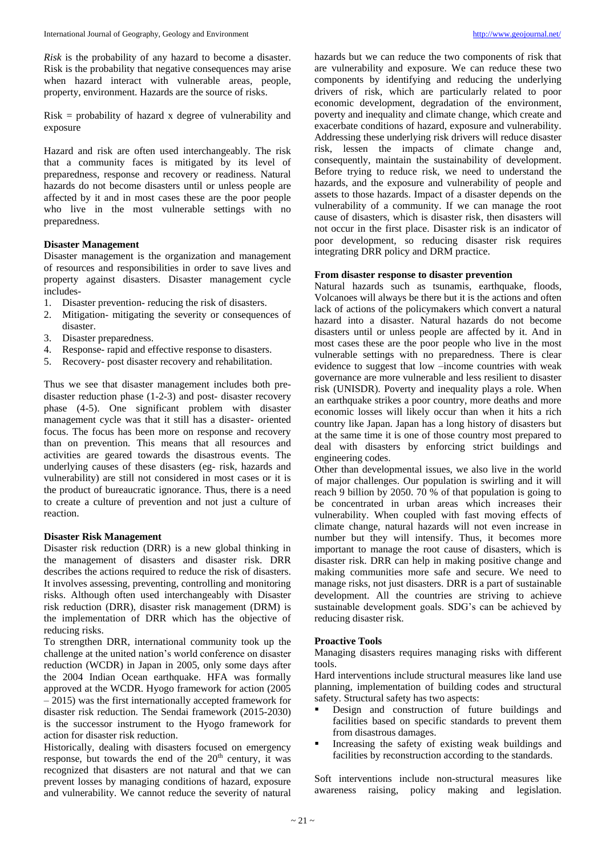*Risk* is the probability of any hazard to become a disaster. Risk is the probability that negative consequences may arise when hazard interact with vulnerable areas, people, property, environment. Hazards are the source of risks.

Risk = probability of hazard x degree of vulnerability and exposure

Hazard and risk are often used interchangeably. The risk that a community faces is mitigated by its level of preparedness, response and recovery or readiness. Natural hazards do not become disasters until or unless people are affected by it and in most cases these are the poor people who live in the most vulnerable settings with no preparedness.

## **Disaster Management**

Disaster management is the organization and management of resources and responsibilities in order to save lives and property against disasters. Disaster management cycle includes-

- 1. Disaster prevention- reducing the risk of disasters.
- 2. Mitigation- mitigating the severity or consequences of disaster.
- 3. Disaster preparedness.
- 4. Response- rapid and effective response to disasters.
- 5. Recovery- post disaster recovery and rehabilitation.

Thus we see that disaster management includes both predisaster reduction phase (1-2-3) and post- disaster recovery phase (4-5). One significant problem with disaster management cycle was that it still has a disaster- oriented focus. The focus has been more on response and recovery than on prevention. This means that all resources and activities are geared towards the disastrous events. The underlying causes of these disasters (eg- risk, hazards and vulnerability) are still not considered in most cases or it is the product of bureaucratic ignorance. Thus, there is a need to create a culture of prevention and not just a culture of reaction.

### **Disaster Risk Management**

Disaster risk reduction (DRR) is a new global thinking in the management of disasters and disaster risk. DRR describes the actions required to reduce the risk of disasters. It involves assessing, preventing, controlling and monitoring risks. Although often used interchangeably with Disaster risk reduction (DRR), disaster risk management (DRM) is the implementation of DRR which has the objective of reducing risks.

To strengthen DRR, international community took up the challenge at the united nation's world conference on disaster reduction (WCDR) in Japan in 2005, only some days after the 2004 Indian Ocean earthquake. HFA was formally approved at the WCDR. Hyogo framework for action (2005 – 2015) was the first internationally accepted framework for disaster risk reduction. The Sendai framework (2015-2030) is the successor instrument to the Hyogo framework for action for disaster risk reduction.

Historically, dealing with disasters focused on emergency response, but towards the end of the 20<sup>th</sup> century, it was recognized that disasters are not natural and that we can prevent losses by managing conditions of hazard, exposure and vulnerability. We cannot reduce the severity of natural

hazards but we can reduce the two components of risk that are vulnerability and exposure. We can reduce these two components by identifying and reducing the underlying drivers of risk, which are particularly related to poor economic development, degradation of the environment, poverty and inequality and climate change, which create and exacerbate conditions of hazard, exposure and vulnerability. Addressing these underlying risk drivers will reduce disaster risk, lessen the impacts of climate change and, consequently, maintain the sustainability of development. Before trying to reduce risk, we need to understand the hazards, and the exposure and vulnerability of people and assets to those hazards. Impact of a disaster depends on the vulnerability of a community. If we can manage the root cause of disasters, which is disaster risk, then disasters will not occur in the first place. Disaster risk is an indicator of poor development, so reducing disaster risk requires integrating DRR policy and DRM practice.

# **From disaster response to disaster prevention**

Natural hazards such as tsunamis, earthquake, floods, Volcanoes will always be there but it is the actions and often lack of actions of the policymakers which convert a natural hazard into a disaster. Natural hazards do not become disasters until or unless people are affected by it. And in most cases these are the poor people who live in the most vulnerable settings with no preparedness. There is clear evidence to suggest that low –income countries with weak governance are more vulnerable and less resilient to disaster risk (UNISDR). Poverty and inequality plays a role. When an earthquake strikes a poor country, more deaths and more economic losses will likely occur than when it hits a rich country like Japan. Japan has a long history of disasters but at the same time it is one of those country most prepared to deal with disasters by enforcing strict buildings and engineering codes.

Other than developmental issues, we also live in the world of major challenges. Our population is swirling and it will reach 9 billion by 2050. 70 % of that population is going to be concentrated in urban areas which increases their vulnerability. When coupled with fast moving effects of climate change, natural hazards will not even increase in number but they will intensify. Thus, it becomes more important to manage the root cause of disasters, which is disaster risk. DRR can help in making positive change and making communities more safe and secure. We need to manage risks, not just disasters. DRR is a part of sustainable development. All the countries are striving to achieve sustainable development goals. SDG's can be achieved by reducing disaster risk.

### **Proactive Tools**

Managing disasters requires managing risks with different tools.

Hard interventions include structural measures like land use planning, implementation of building codes and structural safety. Structural safety has two aspects:

- Design and construction of future buildings and facilities based on specific standards to prevent them from disastrous damages.
- Increasing the safety of existing weak buildings and facilities by reconstruction according to the standards.

Soft interventions include non-structural measures like awareness raising, policy making and legislation.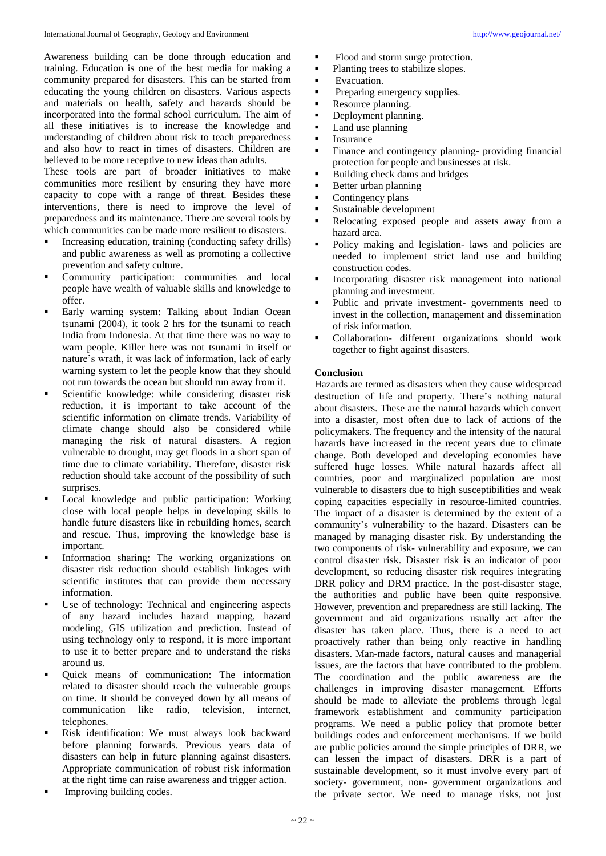Awareness building can be done through education and training. Education is one of the best media for making a community prepared for disasters. This can be started from educating the young children on disasters. Various aspects and materials on health, safety and hazards should be incorporated into the formal school curriculum. The aim of all these initiatives is to increase the knowledge and understanding of children about risk to teach preparedness and also how to react in times of disasters. Children are believed to be more receptive to new ideas than adults.

These tools are part of broader initiatives to make communities more resilient by ensuring they have more capacity to cope with a range of threat. Besides these interventions, there is need to improve the level of preparedness and its maintenance. There are several tools by which communities can be made more resilient to disasters.

- Increasing education, training (conducting safety drills) and public awareness as well as promoting a collective prevention and safety culture.
- Community participation: communities and local people have wealth of valuable skills and knowledge to offer.
- Early warning system: Talking about Indian Ocean tsunami (2004), it took 2 hrs for the tsunami to reach India from Indonesia. At that time there was no way to warn people. Killer here was not tsunami in itself or nature's wrath, it was lack of information, lack of early warning system to let the people know that they should not run towards the ocean but should run away from it.
- Scientific knowledge: while considering disaster risk reduction, it is important to take account of the scientific information on climate trends. Variability of climate change should also be considered while managing the risk of natural disasters. A region vulnerable to drought, may get floods in a short span of time due to climate variability. Therefore, disaster risk reduction should take account of the possibility of such surprises.
- **Local knowledge and public participation: Working** close with local people helps in developing skills to handle future disasters like in rebuilding homes, search and rescue. Thus, improving the knowledge base is important.
- Information sharing: The working organizations on disaster risk reduction should establish linkages with scientific institutes that can provide them necessary information.
- Use of technology: Technical and engineering aspects of any hazard includes hazard mapping, hazard modeling, GIS utilization and prediction. Instead of using technology only to respond, it is more important to use it to better prepare and to understand the risks around us.
- Quick means of communication: The information related to disaster should reach the vulnerable groups on time. It should be conveyed down by all means of communication like radio, television, internet, telephones.
- **Risk identification:** We must always look backward before planning forwards. Previous years data of disasters can help in future planning against disasters. Appropriate communication of robust risk information at the right time can raise awareness and trigger action.
- Improving building codes.
- Flood and storm surge protection.
- Planting trees to stabilize slopes.
- **Exacuation.**
- **•** Preparing emergency supplies.
- Resource planning.
- Deployment planning.
- Land use planning
- $\blacksquare$  Insurance
- Finance and contingency planning- providing financial protection for people and businesses at risk.
- Building check dams and bridges
- Better urban planning
- Contingency plans
- Sustainable development
- Relocating exposed people and assets away from a hazard area.
- Policy making and legislation- laws and policies are needed to implement strict land use and building construction codes.
- Incorporating disaster risk management into national planning and investment.
- Public and private investment- governments need to invest in the collection, management and dissemination of risk information.
- Collaboration- different organizations should work together to fight against disasters.

## **Conclusion**

Hazards are termed as disasters when they cause widespread destruction of life and property. There's nothing natural about disasters. These are the natural hazards which convert into a disaster, most often due to lack of actions of the policymakers. The frequency and the intensity of the natural hazards have increased in the recent years due to climate change. Both developed and developing economies have suffered huge losses. While natural hazards affect all countries, poor and marginalized population are most vulnerable to disasters due to high susceptibilities and weak coping capacities especially in resource-limited countries. The impact of a disaster is determined by the extent of a community's vulnerability to the hazard. Disasters can be managed by managing disaster risk. By understanding the two components of risk- vulnerability and exposure, we can control disaster risk. Disaster risk is an indicator of poor development, so reducing disaster risk requires integrating DRR policy and DRM practice. In the post-disaster stage, the authorities and public have been quite responsive. However, prevention and preparedness are still lacking. The government and aid organizations usually act after the disaster has taken place. Thus, there is a need to act proactively rather than being only reactive in handling disasters. Man-made factors, natural causes and managerial issues, are the factors that have contributed to the problem. The coordination and the public awareness are the challenges in improving disaster management. Efforts should be made to alleviate the problems through legal framework establishment and community participation programs. We need a public policy that promote better buildings codes and enforcement mechanisms. If we build are public policies around the simple principles of DRR, we can lessen the impact of disasters. DRR is a part of sustainable development, so it must involve every part of society- government, non- government organizations and the private sector. We need to manage risks, not just